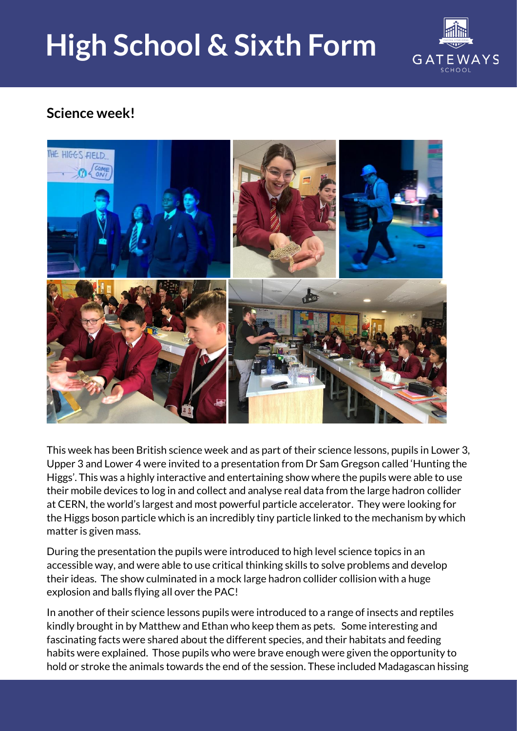## **High School & Sixth Form**



## **Science week!**



This week has been British science week and as part of their science lessons, pupils in Lower 3, Upper 3 and Lower 4 were invited to a presentation from Dr Sam Gregson called 'Hunting the Higgs'. This was a highly interactive and entertaining show where the pupils were able to use their mobile devices to log in and collect and analyse real data from the large hadron collider at CERN, the world's largest and most powerful particle accelerator. They were looking for the Higgs boson particle which is an incredibly tiny particle linked to the mechanism by which matter is given mass.

During the presentation the pupils were introduced to high level science topics in an accessible way, and were able to use critical thinking skills to solve problems and develop their ideas. The show culminated in a mock large hadron collider collision with a huge explosion and balls flying all over the PAC!

In another of their science lessons pupils were introduced to a range of insects and reptiles kindly brought in by Matthew and Ethan who keep them as pets. Some interesting and fascinating facts were shared about the different species, and their habitats and feeding habits were explained. Those pupils who were brave enough were given the opportunity to hold or stroke the animals towards the end of the session. These included Madagascan hissing